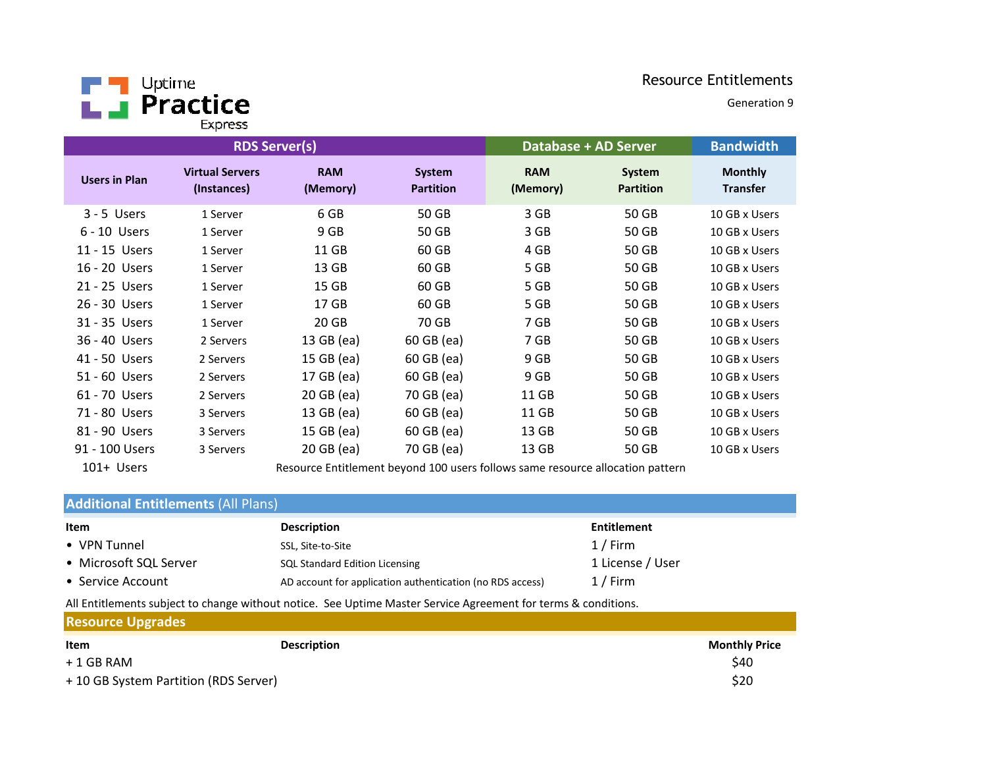

Generation 9

| <b>RDS Server(s)</b> |                                       |                                                                                |                            | Database + AD Server   |                            | <b>Bandwidth</b>                  |  |
|----------------------|---------------------------------------|--------------------------------------------------------------------------------|----------------------------|------------------------|----------------------------|-----------------------------------|--|
| <b>Users in Plan</b> | <b>Virtual Servers</b><br>(Instances) | <b>RAM</b><br>(Memory)                                                         | System<br><b>Partition</b> | <b>RAM</b><br>(Memory) | System<br><b>Partition</b> | <b>Monthly</b><br><b>Transfer</b> |  |
| $3 - 5$ Users        | 1 Server                              | 6 GB                                                                           | 50 GB                      | 3 GB                   | 50 GB                      | 10 GB x Users                     |  |
| $6 - 10$ Users       | 1 Server                              | 9 GB                                                                           | 50 GB                      | 3 GB                   | 50 GB                      | 10 GB x Users                     |  |
| 11 - 15 Users        | 1 Server                              | 11 GB                                                                          | 60 GB                      | 4 GB                   | 50 GB                      | 10 GB x Users                     |  |
| 16 - 20 Users        | 1 Server                              | 13 GB                                                                          | 60 GB                      | 5 GB                   | 50 GB                      | 10 GB x Users                     |  |
| 21 - 25 Users        | 1 Server                              | 15 GB                                                                          | 60 GB                      | 5 GB                   | 50 GB                      | 10 GB x Users                     |  |
| 26 - 30 Users        | 1 Server                              | 17 GB                                                                          | 60 GB                      | 5 GB                   | 50 GB                      | 10 GB x Users                     |  |
| 31 - 35 Users        | 1 Server                              | 20 GB                                                                          | 70 GB                      | 7 GB                   | 50 GB                      | 10 GB x Users                     |  |
| 36 - 40 Users        | 2 Servers                             | 13 GB (ea)                                                                     | 60 GB (ea)                 | 7 GB                   | 50 GB                      | 10 GB x Users                     |  |
| 41 - 50 Users        | 2 Servers                             | 15 GB (ea)                                                                     | 60 GB (ea)                 | 9 GB                   | 50 GB                      | 10 GB x Users                     |  |
| 51 - 60 Users        | 2 Servers                             | 17 GB (ea)                                                                     | 60 GB (ea)                 | 9 GB                   | 50 GB                      | 10 GB x Users                     |  |
| 61 - 70 Users        | 2 Servers                             | 20 GB (ea)                                                                     | 70 GB (ea)                 | 11 GB                  | 50 GB                      | 10 GB x Users                     |  |
| 71 - 80 Users        | 3 Servers                             | 13 GB (ea)                                                                     | 60 GB (ea)                 | 11 GB                  | 50 GB                      | 10 GB x Users                     |  |
| 81 - 90 Users        | 3 Servers                             | 15 GB (ea)                                                                     | 60 GB (ea)                 | 13 GB                  | 50 GB                      | 10 GB x Users                     |  |
| 91 - 100 Users       | 3 Servers                             | 20 GB (ea)                                                                     | 70 GB (ea)                 | 13 GB                  | 50 GB                      | 10 GB x Users                     |  |
| 101+ Users           |                                       | Resource Entitlement beyond 100 users follows same resource allocation pattern |                            |                        |                            |                                   |  |

Resource Entitlement beyond 100 users follows same resource allocation pattern

# Additional Entitlements (All Plans)

| Item                   | <b>Description</b>                                        | Entitlement      |
|------------------------|-----------------------------------------------------------|------------------|
| • VPN Tunnel           | SSL, Site-to-Site                                         | $1/$ Firm        |
| • Microsoft SQL Server | <b>SQL Standard Edition Licensing</b>                     | 1 License / User |
| • Service Account      | AD account for application authentication (no RDS access) | 1 / Firm         |

All Entitlements subject to change without notice. See Uptime Master Service Agreement for terms & conditions.

| <b>Resource Upgrades</b>              |                    |                      |
|---------------------------------------|--------------------|----------------------|
| Item                                  | <b>Description</b> | <b>Monthly Price</b> |
| $+1$ GB RAM                           |                    | \$40                 |
| + 10 GB System Partition (RDS Server) |                    | \$20                 |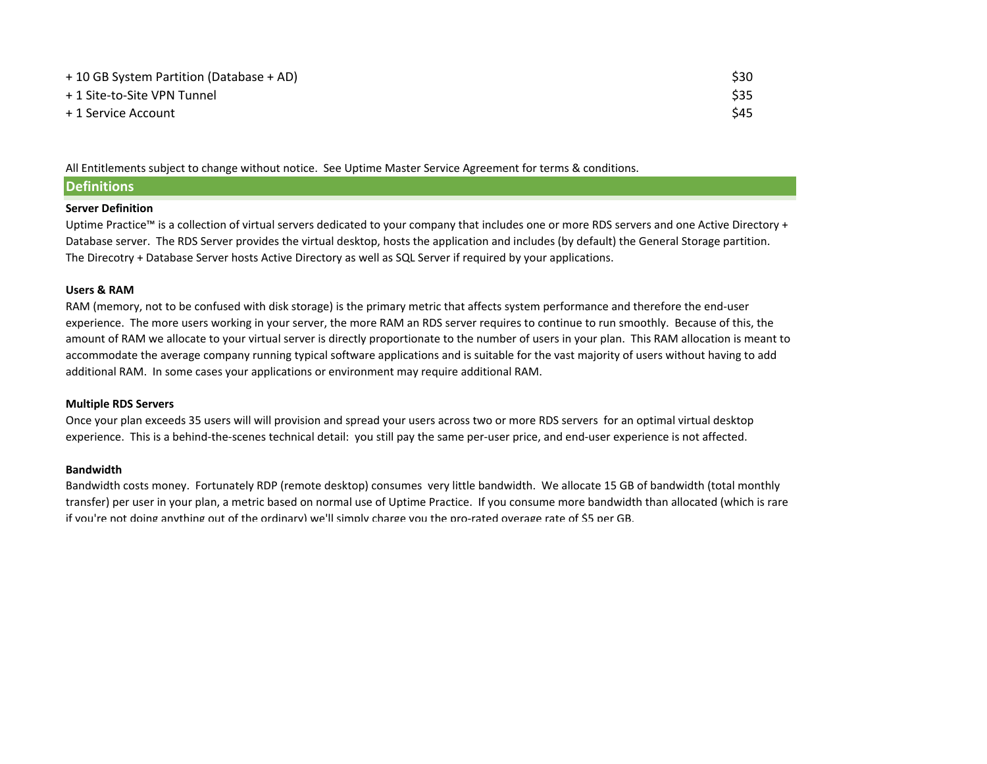| + 10 GB System Partition (Database + AD) | \$30 |
|------------------------------------------|------|
| + 1 Site-to-Site VPN Tunnel              | \$35 |
| + 1 Service Account                      | \$45 |

All Entitlements subject to change without notice. See Uptime Master Service Agreement for terms & conditions.

# **Definitions**

#### Server Definition

 Uptime Practice™ is a collection of virtual servers dedicated to your company that includes one or more RDS servers and one Active Directory + Database server. The RDS Server provides the virtual desktop, hosts the application and includes (by default) the General Storage partition. The Direcotry + Database Server hosts Active Directory as well as SQL Server if required by your applications.

### Users & RAM

 RAM (memory, not to be confused with disk storage) is the primary metric that affects system performance and therefore the end-user experience. The more users working in your server, the more RAM an RDS server requires to continue to run smoothly. Because of this, the amount of RAM we allocate to your virtual server is directly proportionate to the number of users in your plan. This RAM allocation is meant to accommodate the average company running typical software applications and is suitable for the vast majority of users without having to add additional RAM. In some cases your applications or environment may require additional RAM.

## Multiple RDS Servers

Once your plan exceeds 35 users will will provision and spread your users across two or more RDS servers for an optimal virtual desktop experience. This is a behind-the-scenes technical detail: you still pay the same per-user price, and end-user experience is not affected.

#### Bandwidth

 Bandwidth costs money. Fortunately RDP (remote desktop) consumes very little bandwidth. We allocate 15 GB of bandwidth (total monthly transfer) per user in your plan, a metric based on normal use of Uptime Practice. If you consume more bandwidth than allocated (which is rare if you're not doing anything out of the ordinary) we'll simply charge you the pro-rated overage rate of \$5 per GB.